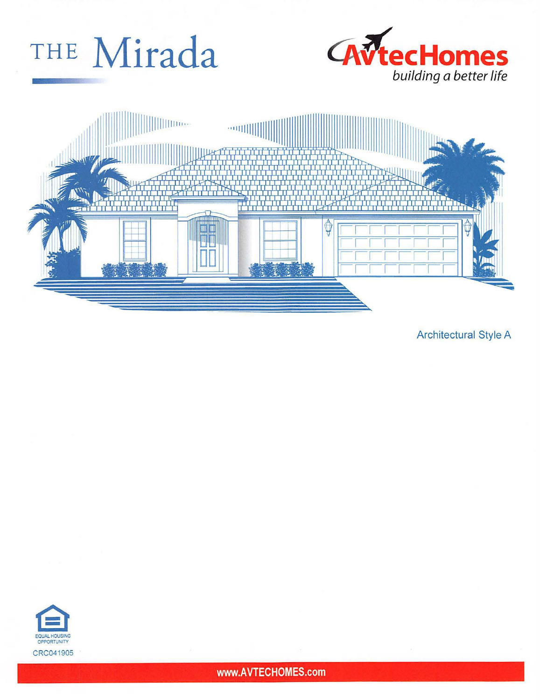





**Architectural Style A** 



www.AVTECHOMES.com